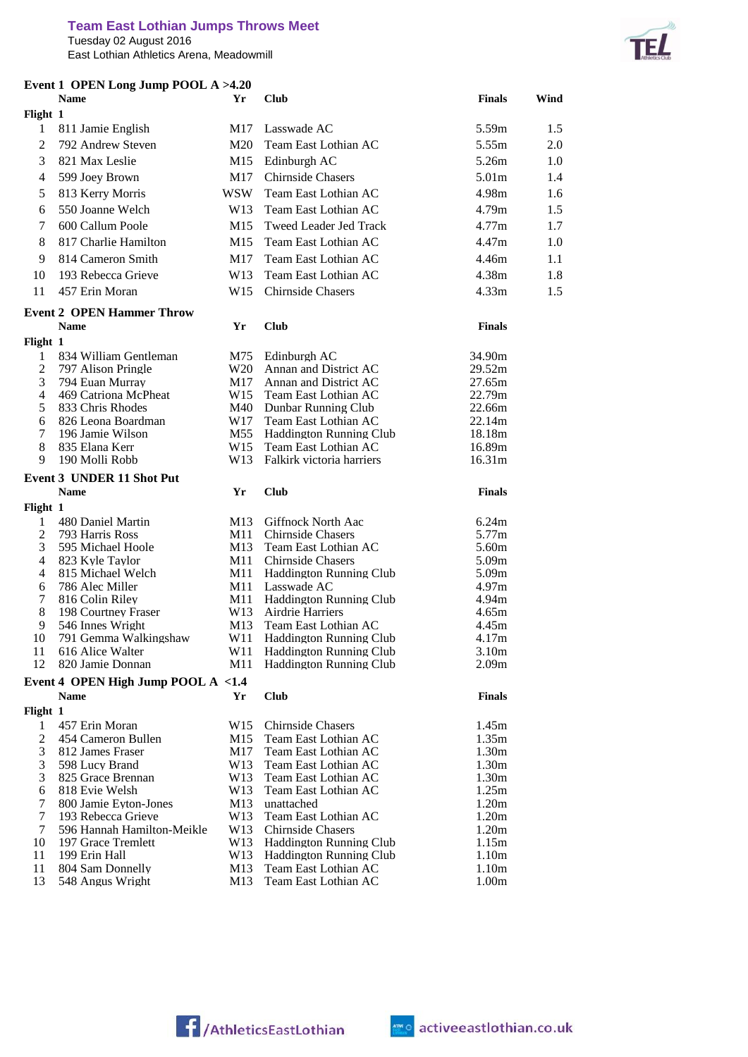Tuesday 02 August 2016 East Lothian Athletics Arena, Meadowmill

رلا **TEL** 

| Event 1 OPEN Long Jump POOL A >4.20<br><b>Name</b><br>Yr |                                                   | <b>Club</b>     | <b>Finals</b>                                    | Wind                       |     |
|----------------------------------------------------------|---------------------------------------------------|-----------------|--------------------------------------------------|----------------------------|-----|
| Flight 1                                                 |                                                   |                 |                                                  |                            |     |
| 1                                                        | 811 Jamie English                                 | M17             | Lasswade AC                                      | 5.59m                      | 1.5 |
| $\overline{c}$                                           | 792 Andrew Steven                                 | M <sub>20</sub> | Team East Lothian AC                             | 5.55m                      | 2.0 |
| 3                                                        | 821 Max Leslie                                    | M15             | Edinburgh AC                                     | 5.26m                      | 1.0 |
| 4                                                        | 599 Joey Brown                                    | M17             | <b>Chirnside Chasers</b>                         | 5.01m                      | 1.4 |
| 5                                                        | 813 Kerry Morris                                  | WSW             | Team East Lothian AC                             | 4.98m                      | 1.6 |
| 6                                                        | 550 Joanne Welch                                  | W13             | Team East Lothian AC                             | 4.79m                      | 1.5 |
|                                                          |                                                   |                 |                                                  | 4.77m                      |     |
| 7                                                        | 600 Callum Poole                                  | M15             | Tweed Leader Jed Track                           |                            | 1.7 |
| 8                                                        | 817 Charlie Hamilton                              | M15             | Team East Lothian AC                             | 4.47m                      | 1.0 |
| 9                                                        | 814 Cameron Smith                                 | M17             | Team East Lothian AC                             | 4.46m                      | 1.1 |
| 10                                                       | 193 Rebecca Grieve                                | W <sub>13</sub> | Team East Lothian AC                             | 4.38m                      | 1.8 |
| 11                                                       | 457 Erin Moran                                    | W <sub>15</sub> | <b>Chirnside Chasers</b>                         | 4.33 <sub>m</sub>          | 1.5 |
|                                                          | <b>Event 2 OPEN Hammer Throw</b>                  |                 |                                                  |                            |     |
|                                                          | <b>Name</b>                                       | Yr              | <b>Club</b>                                      | <b>Finals</b>              |     |
| Flight 1                                                 |                                                   |                 |                                                  |                            |     |
| 1                                                        | 834 William Gentleman                             | M75             | Edinburgh AC                                     | 34.90m                     |     |
| 2                                                        | 797 Alison Pringle                                | W20             | Annan and District AC                            | 29.52m                     |     |
| 3<br>4                                                   | 794 Euan Murray                                   | M17             | Annan and District AC<br>Team East Lothian AC    | 27.65m                     |     |
| 5                                                        | 469 Catriona McPheat<br>833 Chris Rhodes          | W15<br>M40      | Dunbar Running Club                              | 22.79m<br>22.66m           |     |
| 6                                                        | 826 Leona Boardman                                | W17             | Team East Lothian AC                             | 22.14m                     |     |
| 7                                                        | 196 Jamie Wilson                                  | M55             | <b>Haddington Running Club</b>                   | 18.18m                     |     |
| 8                                                        | 835 Elana Kerr                                    | W <sub>15</sub> | Team East Lothian AC                             | 16.89m                     |     |
| 9                                                        | 190 Molli Robb                                    | W13             | Falkirk victoria harriers                        | 16.31m                     |     |
|                                                          | <b>Event 3 UNDER 11 Shot Put</b>                  |                 |                                                  |                            |     |
|                                                          | <b>Name</b>                                       | Yr              | <b>Club</b>                                      | <b>Finals</b>              |     |
| Flight 1                                                 |                                                   |                 |                                                  |                            |     |
| 1                                                        | 480 Daniel Martin                                 | M13             | Giffnock North Aac                               | 6.24m                      |     |
|                                                          |                                                   |                 |                                                  |                            |     |
| $\overline{c}$                                           | 793 Harris Ross                                   | M11             | <b>Chirnside Chasers</b>                         | 5.77m                      |     |
| 3                                                        | 595 Michael Hoole                                 | M13             | Team East Lothian AC                             | 5.60m                      |     |
| 4                                                        | 823 Kyle Taylor                                   | M11             | <b>Chirnside Chasers</b>                         | 5.09m                      |     |
| 4<br>6                                                   | 815 Michael Welch<br>786 Alec Miller              | M11             | Haddington Running Club<br>Lasswade AC           | 5.09m<br>4.97 <sub>m</sub> |     |
| 7                                                        | 816 Colin Riley                                   | M11<br>M11      | <b>Haddington Running Club</b>                   | 4.94m                      |     |
| 8                                                        | 198 Courtney Fraser                               | W13             | Airdrie Harriers                                 | 4.65m                      |     |
| 9                                                        | 546 Innes Wright                                  | M13             | Team East Lothian AC                             | 4.45m                      |     |
| 10                                                       | 791 Gemma Walkingshaw                             |                 | W11 Haddington Running Club                      | 4.17m                      |     |
| 11                                                       | 616 Alice Walter                                  | W11             | Haddington Running Club                          | 3.10 <sub>m</sub>          |     |
| 12                                                       | 820 Jamie Donnan                                  | M11             | Haddington Running Club                          | 2.09 <sub>m</sub>          |     |
|                                                          | Event 4 OPEN High Jump POOL A <1.4<br><b>Name</b> | Yr              | <b>Club</b>                                      | <b>Finals</b>              |     |
| Flight 1                                                 |                                                   |                 |                                                  |                            |     |
| 1                                                        | 457 Erin Moran                                    | W <sub>15</sub> | <b>Chirnside Chasers</b>                         | 1.45m                      |     |
| 2                                                        | 454 Cameron Bullen                                | M15             | Team East Lothian AC                             | 1.35m                      |     |
| 3                                                        | 812 James Fraser                                  | M17             | Team East Lothian AC                             | 1.30 <sub>m</sub>          |     |
| 3                                                        | 598 Lucy Brand                                    | W13             | Team East Lothian AC                             | 1.30 <sub>m</sub>          |     |
| 3                                                        | 825 Grace Brennan                                 | W13             | Team East Lothian AC                             | 1.30m                      |     |
| 6                                                        | 818 Evie Welsh                                    | W13             | Team East Lothian AC                             | 1.25m                      |     |
| 7                                                        | 800 Jamie Eyton-Jones                             | M13             | unattached                                       | 1.20m                      |     |
| $\tau$                                                   | 193 Rebecca Grieve                                | W13<br>W13      | Team East Lothian AC<br><b>Chirnside Chasers</b> | 1.20m<br>1.20 <sub>m</sub> |     |
| 7<br>10                                                  | 596 Hannah Hamilton-Meikle<br>197 Grace Tremlett  | W13             | Haddington Running Club                          | 1.15m                      |     |
| 11                                                       | 199 Erin Hall                                     | W13             | <b>Haddington Running Club</b>                   | 1.10 <sub>m</sub>          |     |
| 11<br>13                                                 | 804 Sam Donnelly<br>548 Angus Wright              | M13<br>M13      | Team East Lothian AC<br>Team East Lothian AC     | 1.10 <sub>m</sub><br>1.00m |     |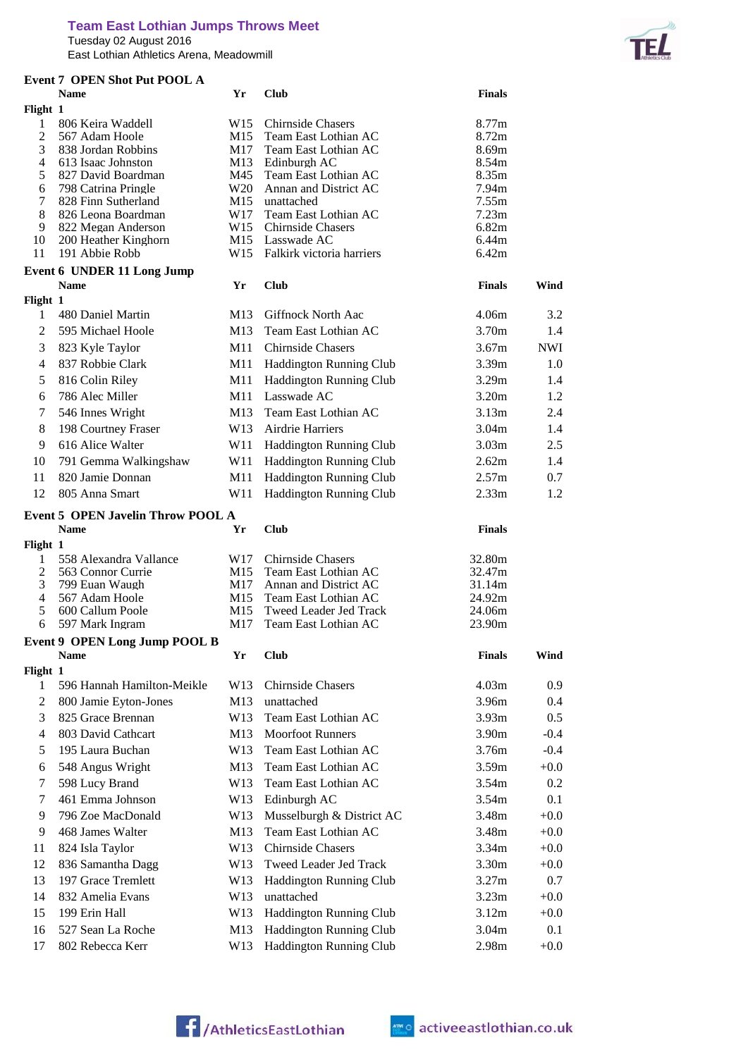## **Team East Lothian Jumps Throws Meet**

Tuesday 02 August 2016

East Lothian Athletics Arena, Meadowmill



|                     | <b>Event 7 OPEN Shot Put POOL A</b>                     |                        |                                                  |                   |                                          |
|---------------------|---------------------------------------------------------|------------------------|--------------------------------------------------|-------------------|------------------------------------------|
|                     | <b>Name</b>                                             | Yr                     | <b>Club</b>                                      | <b>Finals</b>     |                                          |
| Flight 1            |                                                         |                        |                                                  |                   |                                          |
| 1<br>$\overline{2}$ | 806 Keira Waddell<br>567 Adam Hoole                     | W <sub>15</sub><br>M15 | <b>Chirnside Chasers</b><br>Team East Lothian AC | 8.77m<br>8.72m    |                                          |
| 3                   | 838 Jordan Robbins                                      | M17                    | Team East Lothian AC                             | 8.69m             |                                          |
| 4                   | 613 Isaac Johnston                                      | M13                    | Edinburgh AC                                     | 8.54m             |                                          |
| 5                   | 827 David Boardman                                      | M45                    | Team East Lothian AC                             | 8.35m             |                                          |
| 6                   | 798 Catrina Pringle                                     | W20                    | Annan and District AC                            | 7.94m             |                                          |
| 7                   | 828 Finn Sutherland                                     | M15                    | unattached                                       | 7.55m             |                                          |
| 8<br>9              | 826 Leona Boardman<br>822 Megan Anderson                | W17<br>W15             | Team East Lothian AC<br><b>Chirnside Chasers</b> | 7.23m<br>6.82m    |                                          |
| 10                  | 200 Heather Kinghorn                                    |                        | M15 Lasswade AC                                  | 6.44m             |                                          |
| 11                  | 191 Abbie Robb                                          |                        | W15 Falkirk victoria harriers                    | 6.42m             |                                          |
|                     | <b>Event 6 UNDER 11 Long Jump</b>                       |                        |                                                  |                   |                                          |
|                     | <b>Name</b>                                             | Yr                     | <b>Club</b>                                      | <b>Finals</b>     | Wind                                     |
| Flight 1            |                                                         |                        |                                                  |                   |                                          |
| 1                   | 480 Daniel Martin                                       | M13                    | Giffnock North Aac                               | 4.06m             | 3.2                                      |
| 2                   | 595 Michael Hoole                                       | M13                    | Team East Lothian AC                             | 3.70m             | 1.4                                      |
| 3                   | 823 Kyle Taylor                                         | M11                    | <b>Chirnside Chasers</b>                         | 3.67m             | <b>NWI</b>                               |
| 4                   | 837 Robbie Clark                                        | M11                    | <b>Haddington Running Club</b>                   | 3.39 <sub>m</sub> | 1.0                                      |
| 5                   | 816 Colin Riley                                         | M11                    | <b>Haddington Running Club</b>                   | 3.29m             | 1.4                                      |
| 6                   | 786 Alec Miller                                         | M11                    | Lasswade AC                                      | 3.20m             | 1.2                                      |
| 7                   | 546 Innes Wright                                        | M13                    | Team East Lothian AC                             | 3.13m             | 2.4                                      |
| 8                   | 198 Courtney Fraser                                     | W13                    | Airdrie Harriers                                 | 3.04 <sub>m</sub> | 1.4                                      |
| 9                   | 616 Alice Walter                                        | W11                    | Haddington Running Club                          | 3.03 <sub>m</sub> | 2.5                                      |
| 10                  | 791 Gemma Walkingshaw                                   | W11                    | Haddington Running Club                          | 2.62m             | 1.4                                      |
| 11                  | 820 Jamie Donnan                                        | M11                    | <b>Haddington Running Club</b>                   | 2.57m             | 0.7                                      |
| 12                  | 805 Anna Smart                                          | W11                    | <b>Haddington Running Club</b>                   | 2.33 <sub>m</sub> | 1.2                                      |
|                     |                                                         |                        |                                                  |                   |                                          |
|                     |                                                         |                        |                                                  |                   |                                          |
|                     | <b>Event 5 OPEN Javelin Throw POOL A</b><br><b>Name</b> | Yr                     | <b>Club</b>                                      | <b>Finals</b>     |                                          |
| Flight 1            |                                                         |                        |                                                  |                   |                                          |
| 1                   | 558 Alexandra Vallance                                  | W17                    | <b>Chirnside Chasers</b>                         | 32.80m            |                                          |
| $\mathfrak{2}$      | 563 Connor Currie                                       | M15                    | Team East Lothian AC                             | 32.47m            |                                          |
| 3                   | 799 Euan Waugh                                          | M17                    | Annan and District AC                            | 31.14m            |                                          |
| 4                   | 567 Adam Hoole                                          | M15                    | Team East Lothian AC                             | 24.92m            |                                          |
| 5<br>6              | 600 Callum Poole<br>597 Mark Ingram                     | M15<br>M17             | Tweed Leader Jed Track<br>Team East Lothian AC   | 24.06m            |                                          |
|                     |                                                         |                        |                                                  | 23.90m            |                                          |
|                     | <b>Event 9 OPEN Long Jump POOL B</b><br><b>Name</b>     | Yr                     | <b>Club</b>                                      | <b>Finals</b>     |                                          |
| Flight 1            |                                                         |                        |                                                  |                   |                                          |
| 1                   | 596 Hannah Hamilton-Meikle                              | W13                    | <b>Chirnside Chasers</b>                         | 4.03m             | Wind<br>0.9                              |
| $\overline{c}$      | 800 Jamie Eyton-Jones                                   | M13                    | unattached                                       | 3.96m             |                                          |
| 3                   | 825 Grace Brennan                                       | W13                    | Team East Lothian AC                             | 3.93 <sub>m</sub> |                                          |
| $\overline{4}$      | 803 David Cathcart                                      | M13                    | <b>Moorfoot Runners</b>                          | 3.90m             |                                          |
| 5                   | 195 Laura Buchan                                        | W13                    | Team East Lothian AC                             | 3.76m             |                                          |
| 6                   | 548 Angus Wright                                        | M13                    | Team East Lothian AC                             | 3.59 <sub>m</sub> | 0.4<br>0.5<br>$-0.4$<br>$-0.4$<br>$+0.0$ |
| 7                   | 598 Lucy Brand                                          | W13                    | Team East Lothian AC                             | 3.54m             | 0.2                                      |
| 7                   | 461 Emma Johnson                                        | W13                    | Edinburgh AC                                     | 3.54m             |                                          |
| 9                   | 796 Zoe MacDonald                                       | W13                    | Musselburgh & District AC                        | 3.48m             | 0.1<br>$+0.0$                            |
| 9                   | 468 James Walter                                        | M13                    | Team East Lothian AC                             | 3.48m             | $+0.0$                                   |
| 11                  | 824 Isla Taylor                                         | W13                    | <b>Chirnside Chasers</b>                         | 3.34m             |                                          |
| 12                  | 836 Samantha Dagg                                       | W13                    | Tweed Leader Jed Track                           | 3.30m             |                                          |
| 13                  | 197 Grace Tremlett                                      | W13                    | <b>Haddington Running Club</b>                   | 3.27m             | $+0.0$<br>$+0.0$<br>0.7                  |
| 14                  | 832 Amelia Evans                                        | W13                    | unattached                                       | 3.23m             | $+0.0$                                   |
| 15                  | 199 Erin Hall                                           | W13                    | <b>Haddington Running Club</b>                   | 3.12m             |                                          |
| 16                  | 527 Sean La Roche                                       | M13                    | Haddington Running Club                          | 3.04m             | $+0.0$<br>0.1                            |